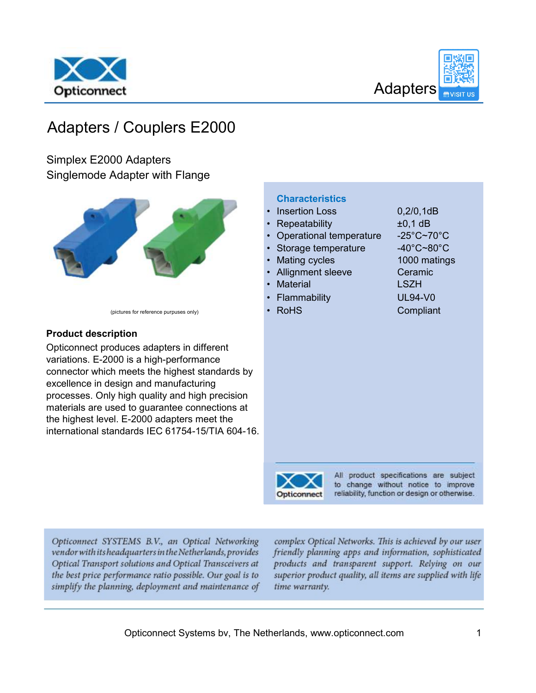



## Adapters / Couplers E2000

Simplex E2000 Adapters Singlemode Adapter with Flange



(pictures for reference purpuses only)

#### Product description

Opticonnect produces adapters in different variations. E-2000 is a high-performance connector which meets the highest standards by excellence in design and manufacturing processes. Only high quality and high precision materials are used to guarantee connections at the highest level. E-2000 adapters meet the international standards IEC 61754-15/TIA 604-16.

|  |  |  | <b>Characteristics</b> |
|--|--|--|------------------------|
|  |  |  |                        |

- Insertion Loss 0,2/0,1dB
- 
- Operational temperature -25°C~70°C
- Storage temperature -40°C~80°C Mating cycles 1000 matings
- Allignment sleeve Ceramic
- Material **EXAM** LSZH
- Flammability UL94-V0
- 

• Repeatability ±0,1 dB • RoHS **Compliant** 



All product specifications are subject to change without notice to improve reliability, function or design or otherwise.

Opticonnect SYSTEMS B.V., an Optical Networking vendor with its headquarters in the Netherlands, provides Optical Transport solutions and Optical Transceivers at the best price performance ratio possible. Our goal is to simplify the planning, deployment and maintenance of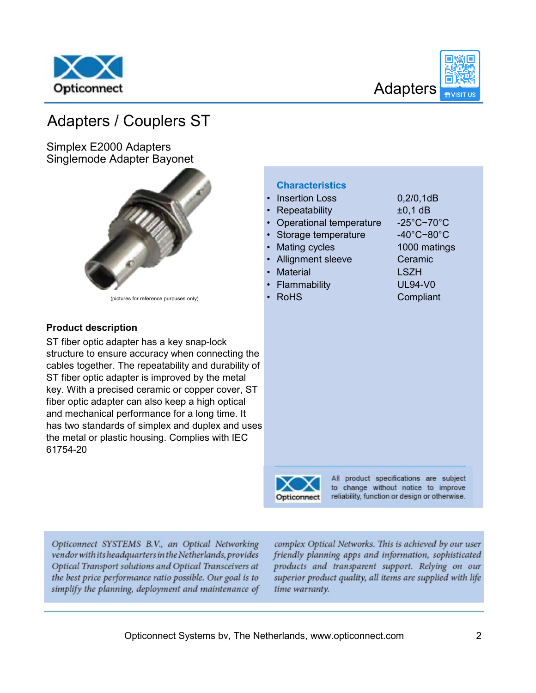



## Adapters / Couplers ST

Simplex E2000 Adapters Singlemode Adapter Bayonet



(pictures for reference purpuses only)

### Product description

ST fiber optic adapter has a key snap-lock structure to ensure accuracy when connecting th cables together. The repeatability and durability ST fiber optic adapter is improved by the metal key. With a precised ceramic or copper cover, S fiber optic adapter can also keep a high optical and mechanical performance for a long time. It has two standards of simplex and duplex and us the metal or plastic housing. Complies with IEC 61754-20

|          | טטטו ווטוויוטטוו                      | U, Z, U, I U U                         |
|----------|---------------------------------------|----------------------------------------|
|          | Repeatability                         | $±0,1$ dB                              |
|          | Operational temperature<br>$\bullet$  | $-25^{\circ}$ C~70 $^{\circ}$ C        |
|          | Storage temperature                   | $-40^{\circ}$ C~80 $^{\circ}$ C        |
|          | <b>Mating cycles</b><br>$\bullet$     | 1000 matings                           |
|          | <b>Allignment sleeve</b><br>$\bullet$ | Ceramic                                |
|          | <b>Material</b><br>$\bullet$          | <b>LSZH</b>                            |
|          | • Flammability                        | <b>UL94-V0</b>                         |
|          | <b>RoHS</b><br>$\bullet$              | Compliant                              |
|          |                                       |                                        |
|          |                                       |                                        |
|          |                                       |                                        |
|          |                                       |                                        |
| he<br>of |                                       |                                        |
|          |                                       |                                        |
| ĵΤ       |                                       |                                        |
|          |                                       |                                        |
|          |                                       |                                        |
| es:      |                                       |                                        |
|          |                                       |                                        |
|          |                                       |                                        |
|          |                                       |                                        |
|          |                                       | All product specifications are subject |
|          |                                       |                                        |

• Insertion Loss 0,2/0,1dB



**Characteristics** 

to change without notice to improve reliability, function or design or otherwise.

Opticonnect SYSTEMS B.V., an Optical Networking vendor with its headquarters in the Netherlands, provides Optical Transport solutions and Optical Transceivers at the best price performance ratio possible. Our goal is to simplify the planning, deployment and maintenance of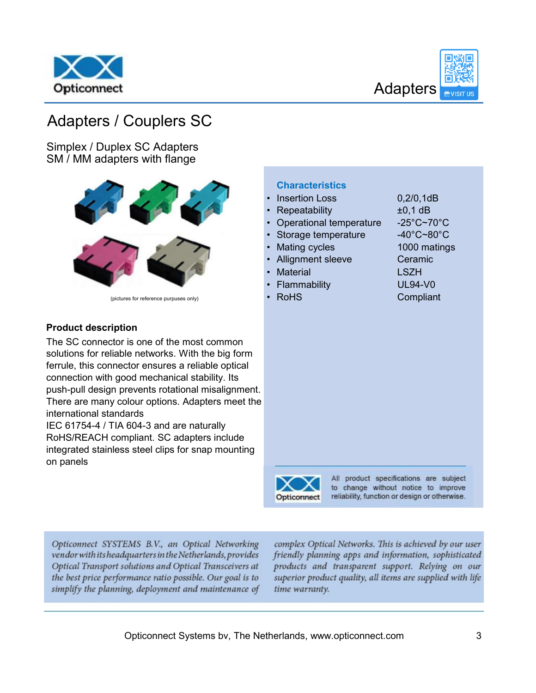



## Adapters / Couplers SC

Simplex / Duplex SC Adapters SM / MM adapters with flange



(pictures for reference purpuses only)

### Product description

The SC connector is one of the most common solutions for reliable networks. With the big form ferrule, this connector ensures a reliable optical connection with good mechanical stability. Its push-pull design prevents rotational misalignmer There are many colour options. Adapters meet the international standards

IEC 61754-4 / TIA 604-3 and are naturally RoHS/REACH compliant. SC adapters include integrated stainless steel clips for snap mounting on panels

|     | Repeatability                         | $±0,1$ dB                                     |
|-----|---------------------------------------|-----------------------------------------------|
|     | Operational temperature               | $-25^{\circ}$ C~70 $^{\circ}$ C               |
|     | Storage temperature<br>$\bullet$      | $-40^{\circ}$ C~80 $^{\circ}$ C               |
|     | <b>Mating cycles</b><br>$\bullet$     | 1000 matings                                  |
|     | <b>Allignment sleeve</b><br>$\bullet$ | Ceramic                                       |
|     | <b>Material</b><br>$\bullet$          | <b>LSZH</b>                                   |
|     | Flammability<br>$\bullet$             | <b>UL94-V0</b>                                |
|     | <b>RoHS</b><br>$\bullet$              | Compliant                                     |
|     |                                       |                                               |
|     |                                       |                                               |
|     |                                       |                                               |
|     |                                       |                                               |
|     |                                       |                                               |
|     |                                       |                                               |
|     |                                       |                                               |
| ٦t. |                                       |                                               |
| he  |                                       |                                               |
|     |                                       |                                               |
|     |                                       |                                               |
|     |                                       |                                               |
|     |                                       |                                               |
|     |                                       |                                               |
|     |                                       | All product specifications are subject        |
|     |                                       | to change without notice to improve           |
|     | Opticonnect                           | reliability, function or design or otherwise. |

• Insertion Loss 0,2/0,1dB

**Characteristics** 

Opticonnect SYSTEMS B.V., an Optical Networking vendor with its headquarters in the Netherlands, provides Optical Transport solutions and Optical Transceivers at the best price performance ratio possible. Our goal is to simplify the planning, deployment and maintenance of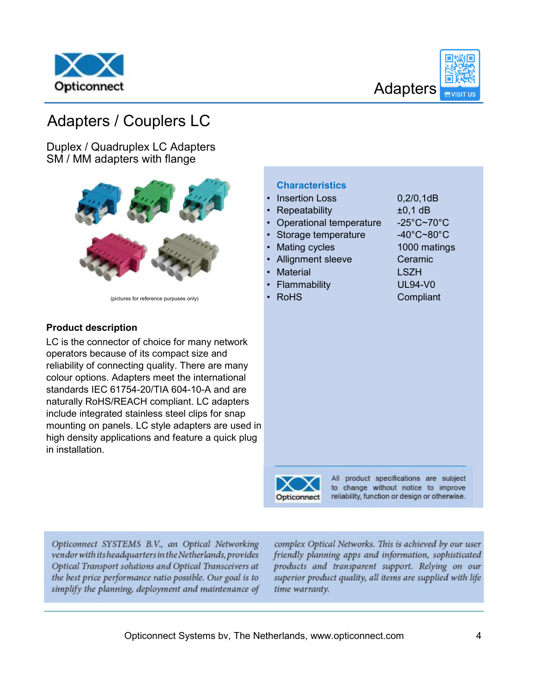



# Adapters / Couplers LC

Duplex / Quadruplex LC Adapters SM / MM adapters with flange



(pictures for reference purpuses only)

### Product description

LC is the connector of choice for many network operators because of its compact size and reliability of connecting quality. There are many colour options. Adapters meet the international standards IEC 61754-20/TIA 604-10-A and are naturally RoHS/REACH compliant. LC adapters include integrated stainless steel clips for snap mounting on panels. LC style adapters are used i high density applications and feature a quick plug in installation.

|    | <b>Insertion Loss</b><br>$\bullet$    | 0,2/0,1dB                              |
|----|---------------------------------------|----------------------------------------|
|    | Repeatability                         | $±0,1$ dB                              |
|    | Operational temperature<br>$\bullet$  | $-25^{\circ}$ C~70 $^{\circ}$ C        |
|    | Storage temperature<br>$\bullet$      | $-40^{\circ}$ C~80 $^{\circ}$ C        |
|    | <b>Mating cycles</b><br>$\bullet$     | 1000 matings                           |
|    | <b>Allignment sleeve</b><br>$\bullet$ | Ceramic                                |
|    | <b>Material</b><br>$\bullet$          | <b>LSZH</b>                            |
|    | Flammability<br>$\bullet$             | <b>UL94-V0</b>                         |
|    | <b>RoHS</b><br>$\bullet$              | Compliant                              |
|    |                                       |                                        |
|    |                                       |                                        |
|    |                                       |                                        |
|    |                                       |                                        |
|    |                                       |                                        |
|    |                                       |                                        |
|    |                                       |                                        |
|    |                                       |                                        |
|    |                                       |                                        |
| in |                                       |                                        |
| Į  |                                       |                                        |
|    |                                       |                                        |
|    |                                       |                                        |
|    |                                       | All product specifications are subject |
|    |                                       |                                        |

∼ Opticonnect

**Characteristics** 

to change without notice to improve reliability, function or design or otherwise.

Opticonnect SYSTEMS B.V., an Optical Networking vendor with its headquarters in the Netherlands, provides Optical Transport solutions and Optical Transceivers at the best price performance ratio possible. Our goal is to simplify the planning, deployment and maintenance of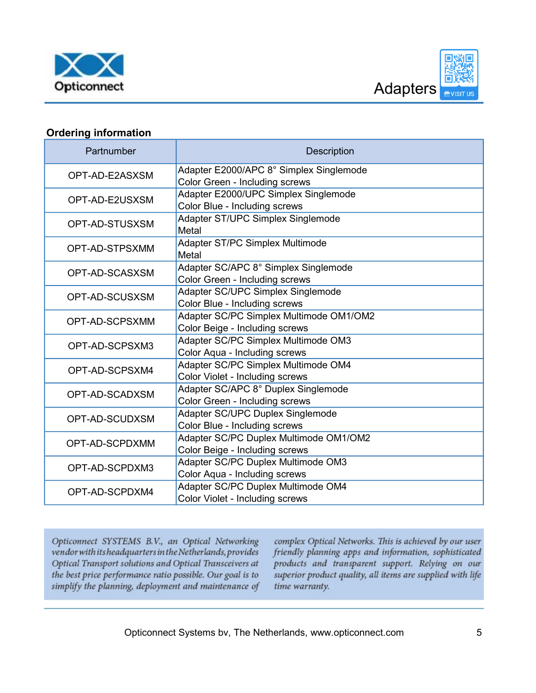



### Ordering information

| Partnumber     | <b>Description</b>                                                        |
|----------------|---------------------------------------------------------------------------|
| OPT-AD-E2ASXSM | Adapter E2000/APC 8° Simplex Singlemode<br>Color Green - Including screws |
| OPT-AD-E2USXSM | Adapter E2000/UPC Simplex Singlemode<br>Color Blue - Including screws     |
| OPT-AD-STUSXSM | Adapter ST/UPC Simplex Singlemode<br>Metal                                |
| OPT-AD-STPSXMM | Adapter ST/PC Simplex Multimode<br>Metal                                  |
| OPT-AD-SCASXSM | Adapter SC/APC 8° Simplex Singlemode<br>Color Green - Including screws    |
| OPT-AD-SCUSXSM | Adapter SC/UPC Simplex Singlemode<br>Color Blue - Including screws        |
| OPT-AD-SCPSXMM | Adapter SC/PC Simplex Multimode OM1/OM2<br>Color Beige - Including screws |
| OPT-AD-SCPSXM3 | Adapter SC/PC Simplex Multimode OM3<br>Color Aqua - Including screws      |
| OPT-AD-SCPSXM4 | Adapter SC/PC Simplex Multimode OM4<br>Color Violet - Including screws    |
| OPT-AD-SCADXSM | Adapter SC/APC 8° Duplex Singlemode<br>Color Green - Including screws     |
| OPT-AD-SCUDXSM | Adapter SC/UPC Duplex Singlemode<br>Color Blue - Including screws         |
| OPT-AD-SCPDXMM | Adapter SC/PC Duplex Multimode OM1/OM2<br>Color Beige - Including screws  |
| OPT-AD-SCPDXM3 | Adapter SC/PC Duplex Multimode OM3<br>Color Aqua - Including screws       |
| OPT-AD-SCPDXM4 | Adapter SC/PC Duplex Multimode OM4<br>Color Violet - Including screws     |

Opticonnect SYSTEMS B.V., an Optical Networking vendor with its headquarters in the Netherlands, provides Optical Transport solutions and Optical Transceivers at the best price performance ratio possible. Our goal is to simplify the planning, deployment and maintenance of